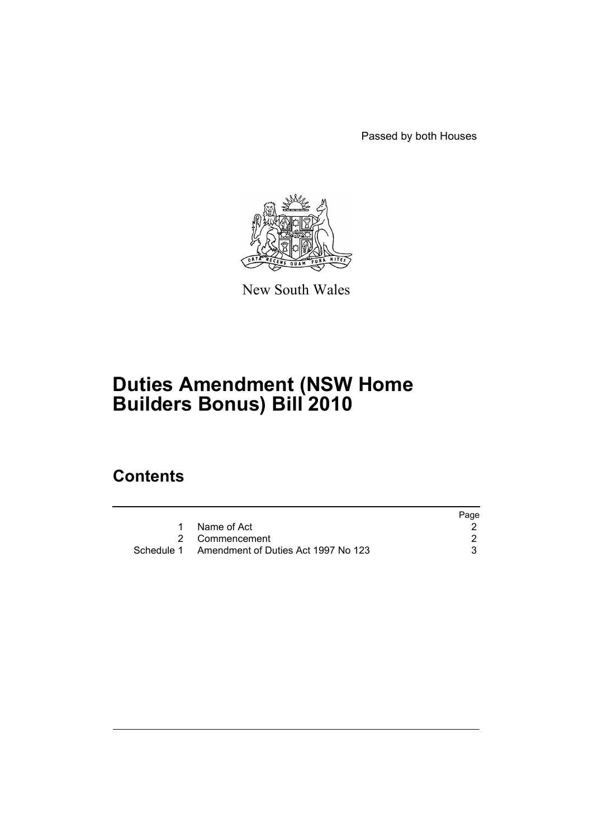Passed by both Houses



New South Wales

# **Duties Amendment (NSW Home Builders Bonus) Bill 2010**

## **Contents**

|                                                | Page |
|------------------------------------------------|------|
| 1 Name of Act                                  |      |
| 2 Commencement                                 |      |
| Schedule 1 Amendment of Duties Act 1997 No 123 |      |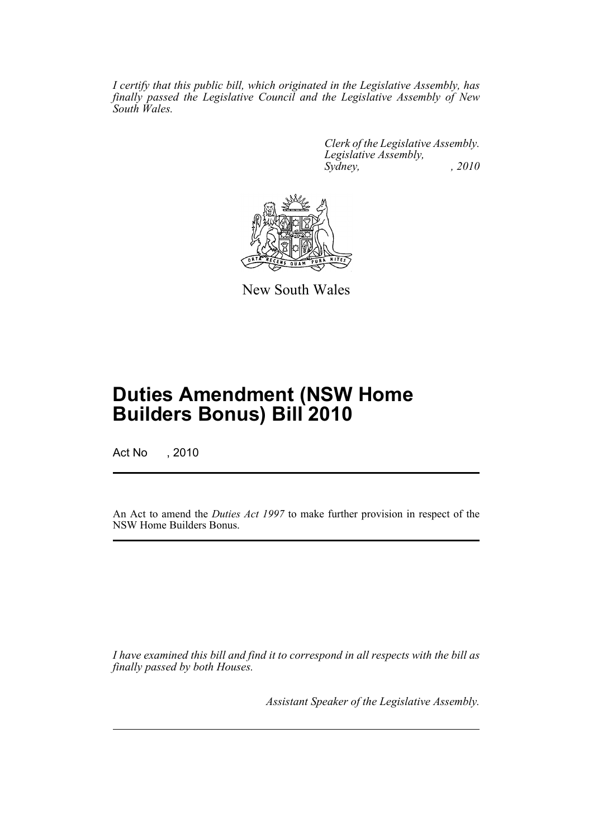*I certify that this public bill, which originated in the Legislative Assembly, has finally passed the Legislative Council and the Legislative Assembly of New South Wales.*

> *Clerk of the Legislative Assembly. Legislative Assembly, Sydney, , 2010*



New South Wales

## **Duties Amendment (NSW Home Builders Bonus) Bill 2010**

Act No , 2010

An Act to amend the *Duties Act 1997* to make further provision in respect of the NSW Home Builders Bonus.

*I have examined this bill and find it to correspond in all respects with the bill as finally passed by both Houses.*

*Assistant Speaker of the Legislative Assembly.*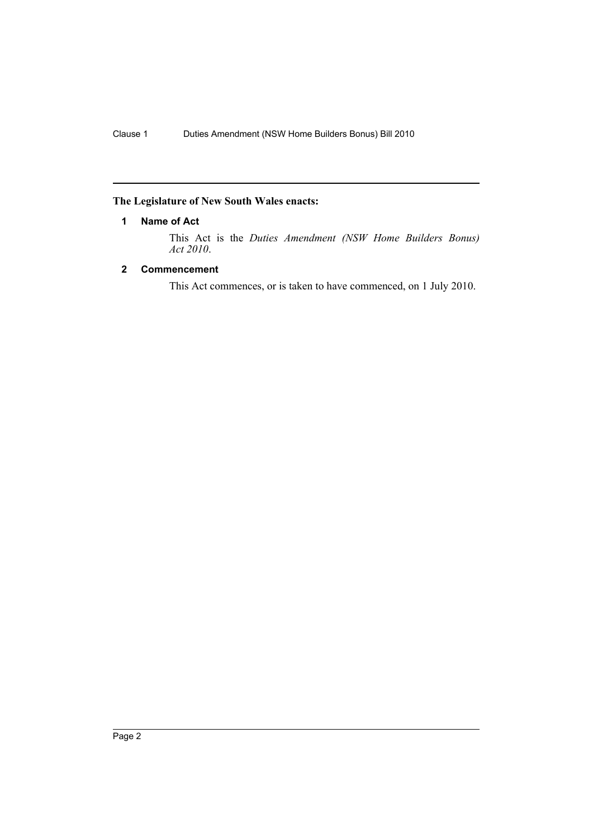## <span id="page-2-0"></span>**The Legislature of New South Wales enacts:**

## **1 Name of Act**

This Act is the *Duties Amendment (NSW Home Builders Bonus) Act 2010*.

## <span id="page-2-1"></span>**2 Commencement**

This Act commences, or is taken to have commenced, on 1 July 2010.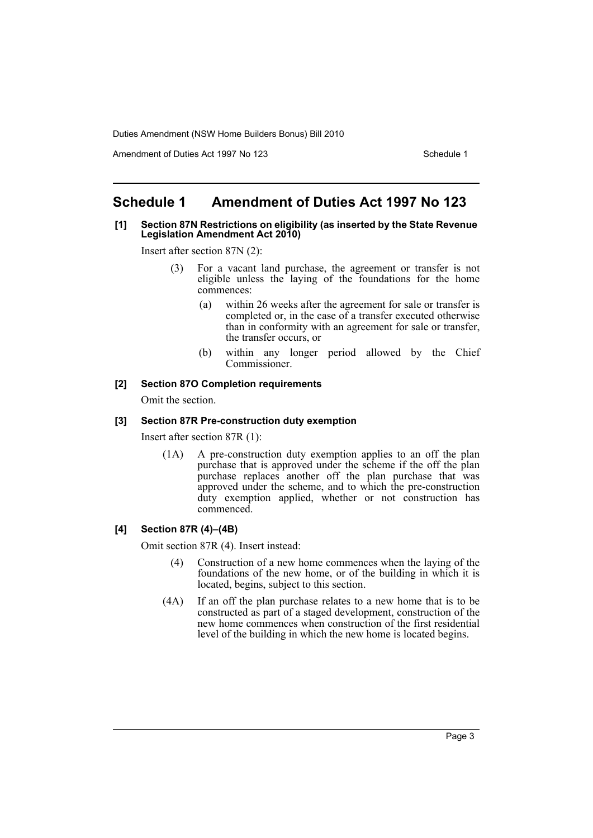Duties Amendment (NSW Home Builders Bonus) Bill 2010

Amendment of Duties Act 1997 No 123 Schedule 1

## <span id="page-3-0"></span>**Schedule 1 Amendment of Duties Act 1997 No 123**

#### **[1] Section 87N Restrictions on eligibility (as inserted by the State Revenue Legislation Amendment Act 2010)**

Insert after section 87N (2):

- (3) For a vacant land purchase, the agreement or transfer is not eligible unless the laying of the foundations for the home commences:
	- (a) within 26 weeks after the agreement for sale or transfer is completed or, in the case of a transfer executed otherwise than in conformity with an agreement for sale or transfer, the transfer occurs, or
	- (b) within any longer period allowed by the Chief Commissioner.

#### **[2] Section 87O Completion requirements**

Omit the section.

## **[3] Section 87R Pre-construction duty exemption**

Insert after section 87R (1):

(1A) A pre-construction duty exemption applies to an off the plan purchase that is approved under the scheme if the off the plan purchase replaces another off the plan purchase that was approved under the scheme, and to which the pre-construction duty exemption applied, whether or not construction has commenced.

## **[4] Section 87R (4)–(4B)**

Omit section 87R (4). Insert instead:

- (4) Construction of a new home commences when the laying of the foundations of the new home, or of the building in which it is located, begins, subject to this section.
- (4A) If an off the plan purchase relates to a new home that is to be constructed as part of a staged development, construction of the new home commences when construction of the first residential level of the building in which the new home is located begins.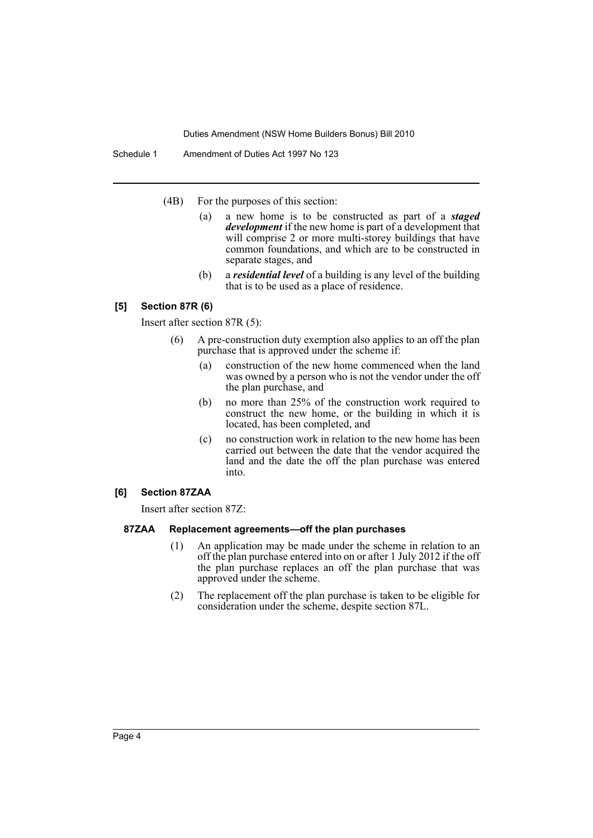Duties Amendment (NSW Home Builders Bonus) Bill 2010

Schedule 1 Amendment of Duties Act 1997 No 123

- (4B) For the purposes of this section:
	- (a) a new home is to be constructed as part of a *staged development* if the new home is part of a development that will comprise 2 or more multi-storey buildings that have common foundations, and which are to be constructed in separate stages, and
	- (b) a *residential level* of a building is any level of the building that is to be used as a place of residence.

## **[5] Section 87R (6)**

Insert after section 87R (5):

- (6) A pre-construction duty exemption also applies to an off the plan purchase that is approved under the scheme if:
	- (a) construction of the new home commenced when the land was owned by a person who is not the vendor under the off the plan purchase, and
	- (b) no more than 25% of the construction work required to construct the new home, or the building in which it is located, has been completed, and
	- (c) no construction work in relation to the new home has been carried out between the date that the vendor acquired the land and the date the off the plan purchase was entered into.

## **[6] Section 87ZAA**

Insert after section 87Z:

#### **87ZAA Replacement agreements—off the plan purchases**

- (1) An application may be made under the scheme in relation to an off the plan purchase entered into on or after 1 July 2012 if the off the plan purchase replaces an off the plan purchase that was approved under the scheme.
- (2) The replacement off the plan purchase is taken to be eligible for consideration under the scheme, despite section 87L.